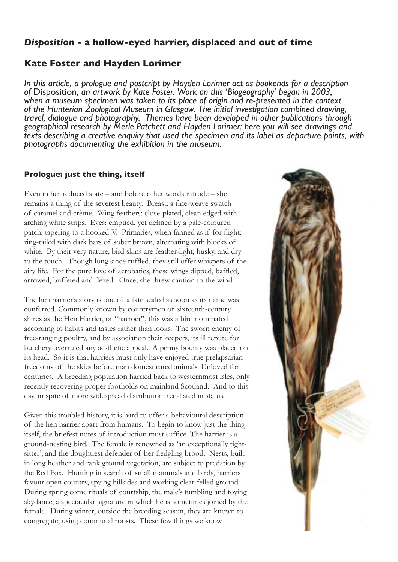## *Disposition* **- a hollow-eyed harrier, displaced and out of time**

## **Kate Foster and Hayden Lorimer**

*In this article, a prologue and postcript by Hayden Lorimer act as bookends for a description of* Disposition, *an artwork by Kate Foster*. *Work on this* '*Biogeography' began in 2003,*  when a museum specimen was taken to its place of origin and re-presented in the context *of the Hunterian Zoological Museum in Glasgow. The initial investigation combined drawing, travel, dialogue and photography. Themes have been developed in other publications through geographical research by Merle Patchett and Hayden Lorimer: here you will see drawings and texts describing a creative enquiry that used the specimen and its label as departure points, with photographs documenting the exhibition in the museum.* 

### **Prologue: just the thing, itself**

Even in her reduced state – and before other words intrude – she remains a thing of the severest beauty. Breast: a fine-weave swatch of caramel and crème. Wing feathers: close-plated, clean edged with arching white strips. Eyes: emptied, yet defined by a pale-coloured patch, tapering to a hooked-V. Primaries, when fanned as if for flight: ring-tailed with dark bars of sober brown, alternating with blocks of white. By their very nature, bird skins are feather-light; husky, and dry to the touch. Though long since ruffled, they still offer whispers of the airy life. For the pure love of aerobatics, these wings dipped, baffled, arrowed, buffeted and flexed. Once, she threw caution to the wind.

The hen harrier's story is one of a fate sealed as soon as its name was conferred. Commonly known by countrymen of sixteenth-century shires as the Hen Harrier, or "harroer", this was a bird nominated according to habits and tastes rather than looks. The sworn enemy of free-ranging poultry, and by association their keepers, its ill repute for butchery overruled any aesthetic appeal. A penny bounty was placed on its head. So it is that harriers must only have enjoyed true prelapsarian freedoms of the skies before man domesticated animals. Unloved for centuries. A breeding population harried back to westernmost isles, only recently recovering proper footholds on mainland Scotland. And to this day, in spite of more widespread distribution: red-listed in status.

Given this troubled history, it is hard to offer a behavioural description of the hen harrier apart from humans. To begin to know just the thing itself, the briefest notes of introduction must suffice. The harrier is a ground-nesting bird. The female is renowned as 'an exceptionally tightsitter', and the doughtiest defender of her fledgling brood. Nests, built in long heather and rank ground vegetation, are subject to predation by the Red Fox. Hunting in search of small mammals and birds, harriers favour open country, spying hillsides and working clear-felled ground. During spring come rituals of courtship, the male's tumbling and toying skydance, a spectacular signature in which he is sometimes joined by the female. During winter, outside the breeding season, they are known to congregate, using communal roosts. These few things we know.

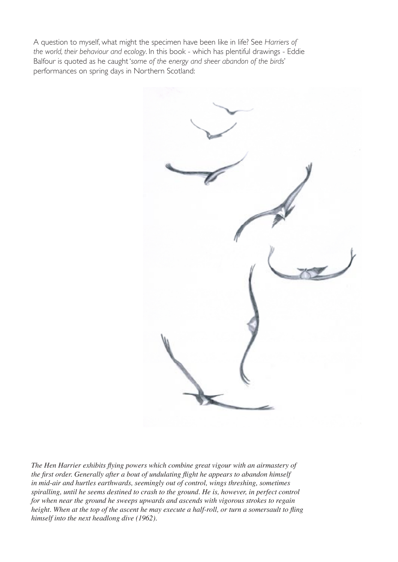A question to myself, what might the specimen have been like in life? See *Harriers of the world, their behaviour and ecology*. In this book - which has plentiful drawings - Eddie Balfour is quoted as he caught '*some of the energy and sheer abandon of the birds*' performances on spring days in Northern Scotland:



*The Hen Harrier exhibits flying powers which combine great vigour with an airmastery of the first order. Generally after a bout of undulating flight he appears to abandon himself in mid-air and hurtles earthwards, seemingly out of control, wings threshing, sometimes spiralling, until he seems destined to crash to the ground. He is, however, in perfect control for when near the ground he sweeps upwards and ascends with vigorous strokes to regain height. When at the top of the ascent he may execute a half-roll, or turn a somersault to fling himself into the next headlong dive (1962).*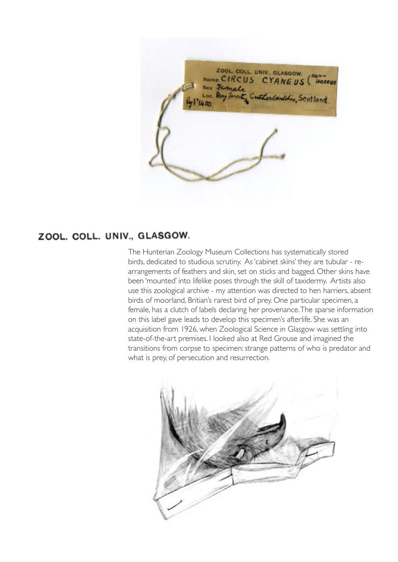

# ZOOL. COLL. UNIV., GLASGOW.

The Hunterian Zoology Museum Collections has systematically stored birds, dedicated to studious scrutiny. As 'cabinet skins' they are tubular - rearrangements of feathers and skin, set on sticks and bagged. Other skins have been 'mounted' into lifelike poses through the skill of taxidermy. Artists also use this zoological archive - my attention was directed to hen harriers, absent birds of moorland, Britian's rarest bird of prey. One particular specimen, a female, has a clutch of labels declaring her provenance. The sparse information on this label gave leads to develop this specimen's afterlife. She was an acquisition from 1926, when Zoological Science in Glasgow was settling into state-of-the-art premises. I looked also at Red Grouse and imagined the transitions from corpse to specimen: strange patterns of who is predator and what is prey, of persecution and resurrection.

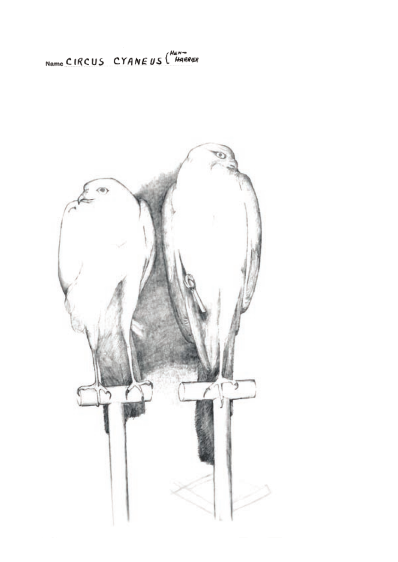Name CIRCUS CYANEUS (HENT

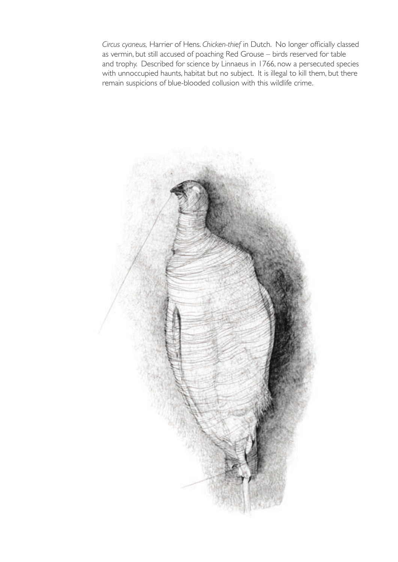*Circus cyaneus,* Harrier of Hens. *Chicken-thief* in Dutch. No longer officially classed as vermin, but still accused of poaching Red Grouse – birds reserved for table and trophy. Described for science by Linnaeus in 1766, now a persecuted species with unnoccupied haunts, habitat but no subject. It is illegal to kill them, but there remain suspicions of blue-blooded collusion with this wildlife crime.

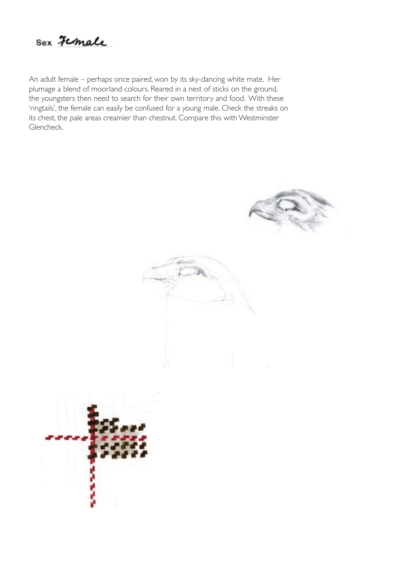Sex Female

An adult female – perhaps once paired, won by its sky-dancing white mate. Her plumage a blend of moorland colours. Reared in a nest of sticks on the ground, the youngsters then need to search for their own territory and food. With these 'ringtails', the female can easily be confused for a young male. Check the streaks on its chest, the pale areas creamier than chestnut. Compare this with Westminster Glencheck.



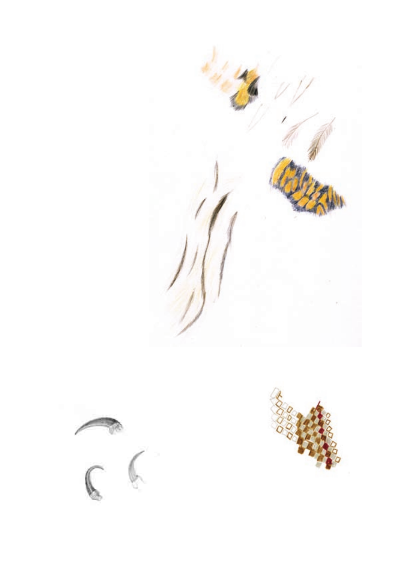



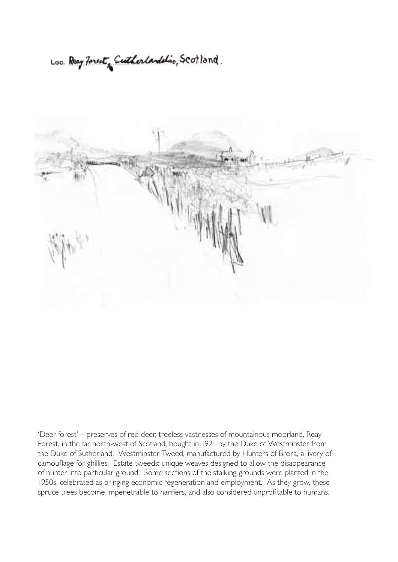Loc. Rear Forest, Sutherlandshie, Scotland.



'Deer forest' – preserves of red deer, treeless vastnesses of mountainous moorland. Reay Forest, in the far north-west of Scotland, bought in 1921 by the Duke of Westminster from the Duke of Sutherland. Westminster Tweed, manufactured by Hunters of Brora, a livery of camouflage for ghillies. Estate tweeds: unique weaves designed to allow the disappearance of hunter into particular ground. Some sections of the stalking grounds were planted in the 1950s, celebrated as bringing economic regeneration and employment. As they grow, these spruce trees become impenetrable to harriers, and also considered unprofitable to humans.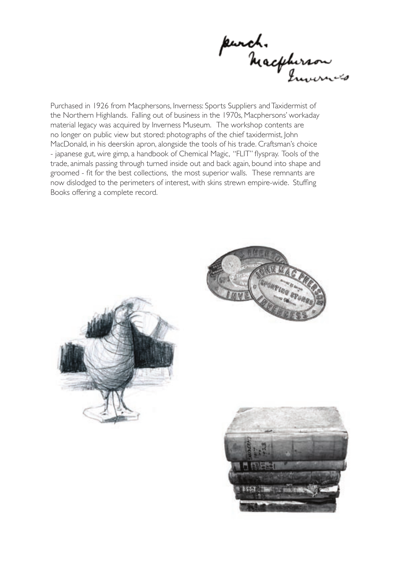Purchased in 1926 from Macphersons, Inverness: Sports Suppliers and Taxidermist of

the Northern Highlands. Falling out of business in the 1970s, Macphersons' workaday material legacy was acquired by Inverness Museum. The workshop contents are no longer on public view but stored: photographs of the chief taxidermist, John MacDonald, in his deerskin apron, alongside the tools of his trade. Craftsman's choice - japanese gut, wire gimp, a handbook of Chemical Magic, "FLIT" flyspray. Tools of the trade, animals passing through turned inside out and back again, bound into shape and groomed - fit for the best collections, the most superior walls. These remnants are now dislodged to the perimeters of interest, with skins strewn empire-wide. Stuffing Books offering a complete record.





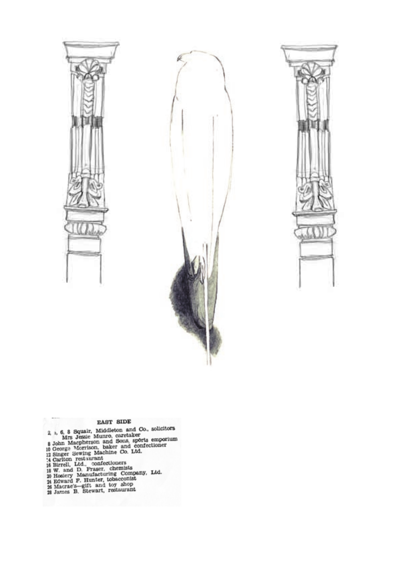





#### **EAST SIDE**

**EAST SIDE**<br>
2,  $\pm$ , 6, 8 Squair, Middleton and Co., solicitors<br>
3 John Macpherson and Sons, sports emporium<br>
10 George Morrison, baker and confectioner<br>
12 Singer Sewing Machine Co. Ltd.<br>
14 Carticon restaurant<br>
18 Birr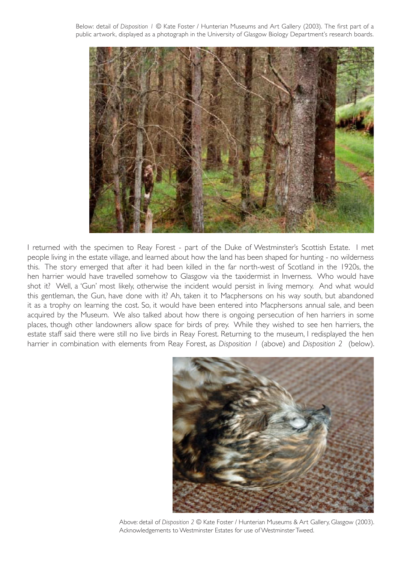Below: detail of *Disposition 1* © Kate Foster / Hunterian Museums and Art Gallery (2003). The first part of a public artwork, displayed as a photograph in the University of Glasgow Biology Department's research boards.



I returned with the specimen to Reay Forest - part of the Duke of Westminster's Scottish Estate. I met people living in the estate village, and learned about how the land has been shaped for hunting - no wilderness this. The story emerged that after it had been killed in the far north-west of Scotland in the 1920s, the hen harrier would have travelled somehow to Glasgow via the taxidermist in Inverness. Who would have shot it? Well, a 'Gun' most likely, otherwise the incident would persist in living memory. And what would this gentleman, the Gun, have done with it? Ah, taken it to Macphersons on his way south, but abandoned it as a trophy on learning the cost. So, it would have been entered into Macphersons annual sale, and been acquired by the Museum. We also talked about how there is ongoing persecution of hen harriers in some places, though other landowners allow space for birds of prey. While they wished to see hen harriers, the estate staff said there were still no live birds in Reay Forest. Returning to the museum, I redisplayed the hen harrier in combination with elements from Reay Forest, as *Disposition 1* (above) and *Disposition 2* (below).



Above: detail of *Disposition 2* © Kate Foster / Hunterian Museums & Art Gallery, Glasgow (2003). Acknowledgements to Westminster Estates for use of Westminster Tweed.